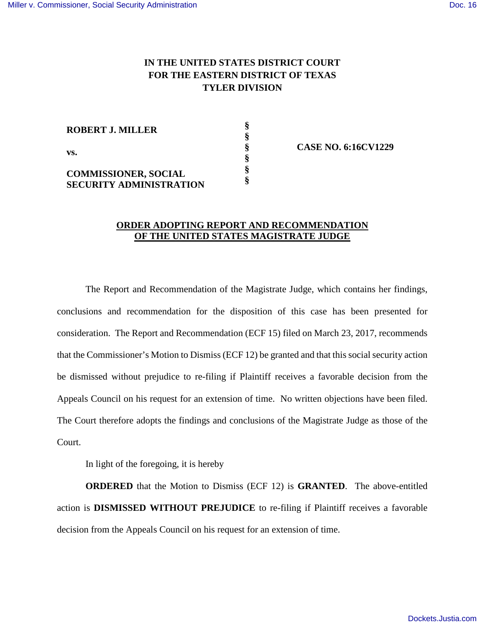## **IN THE UNITED STATES DISTRICT COURT FOR THE EASTERN DISTRICT OF TEXAS TYLER DIVISION**

| <b>ROBERT J. MILLER</b>                                       |  |
|---------------------------------------------------------------|--|
| VS.                                                           |  |
| <b>COMMISSIONER, SOCIAL</b><br><b>SECURITY ADMINISTRATION</b> |  |

**§ CASE NO. 6:16CV1229**

## **ORDER ADOPTING REPORT AND RECOMMENDATION OF THE UNITED STATES MAGISTRATE JUDGE**

The Report and Recommendation of the Magistrate Judge, which contains her findings, conclusions and recommendation for the disposition of this case has been presented for consideration. The Report and Recommendation (ECF 15) filed on March 23, 2017, recommends that the Commissioner's Motion to Dismiss (ECF 12) be granted and that this social security action be dismissed without prejudice to re-filing if Plaintiff receives a favorable decision from the Appeals Council on his request for an extension of time. No written objections have been filed. The Court therefore adopts the findings and conclusions of the Magistrate Judge as those of the Court.

In light of the foregoing, it is hereby

**ORDERED** that the Motion to Dismiss (ECF 12) is **GRANTED**. The above-entitled action is **DISMISSED WITHOUT PREJUDICE** to re-filing if Plaintiff receives a favorable decision from the Appeals Council on his request for an extension of time.